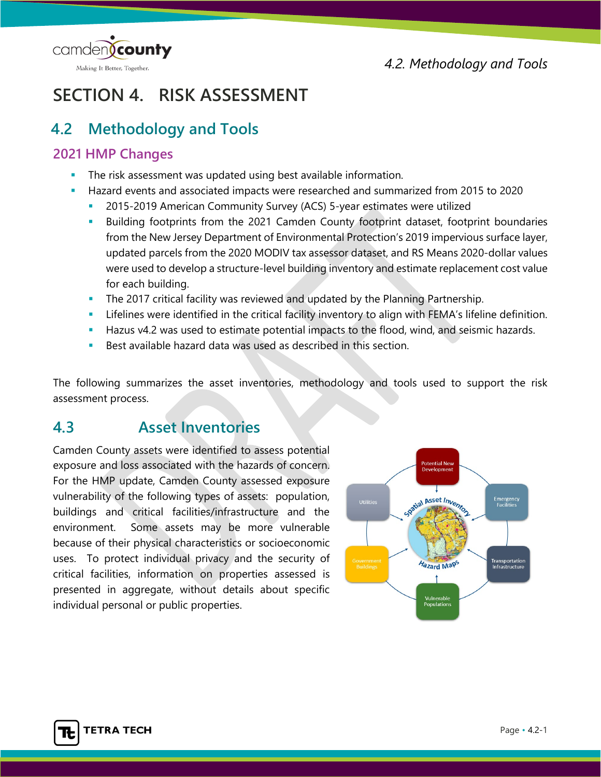



# **SECTION 4. RISK ASSESSMENT**

## **4.2 Methodology and Tools**

## **2021 HMP Changes**

- The risk assessment was updated using best available information.
- Hazard events and associated impacts were researched and summarized from 2015 to 2020
	- 2015-2019 American Community Survey (ACS) 5-year estimates were utilized
	- Building footprints from the 2021 Camden County footprint dataset, footprint boundaries from the New Jersey Department of Environmental Protection's 2019 impervious surface layer, updated parcels from the 2020 MODIV tax assessor dataset, and RS Means 2020-dollar values were used to develop a structure-level building inventory and estimate replacement cost value for each building.
	- The 2017 critical facility was reviewed and updated by the Planning Partnership.
	- Lifelines were identified in the critical facility inventory to align with FEMA's lifeline definition.
	- **Hazus v4.2 was used to estimate potential impacts to the flood, wind, and seismic hazards.**
	- Best available hazard data was used as described in this section.

The following summarizes the asset inventories, methodology and tools used to support the risk assessment process.

## **4.3 Asset Inventories**

Camden County assets were identified to assess potential exposure and loss associated with the hazards of concern. For the HMP update, Camden County assessed exposure vulnerability of the following types of assets: population, buildings and critical facilities/infrastructure and the environment. Some assets may be more vulnerable because of their physical characteristics or socioeconomic uses. To protect individual privacy and the security of critical facilities, information on properties assessed is presented in aggregate, without details about specific individual personal or public properties.

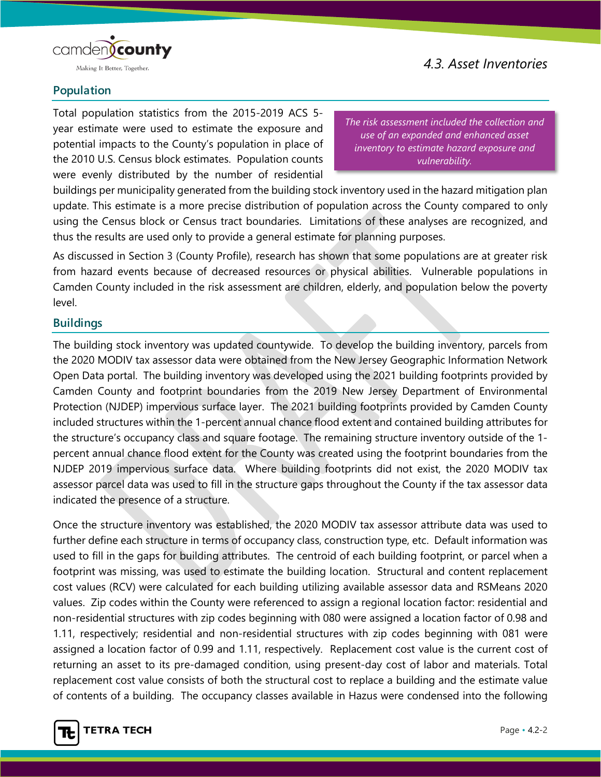

### *4.3. Asset Inventories*

#### **Population**

Total population statistics from the 2015-2019 ACS 5 year estimate were used to estimate the exposure and potential impacts to the County's population in place of the 2010 U.S. Census block estimates. Population counts were evenly distributed by the number of residential

*The risk assessment included the collection and use of an expanded and enhanced asset inventory to estimate hazard exposure and vulnerability.*

buildings per municipality generated from the building stock inventory used in the hazard mitigation plan update. This estimate is a more precise distribution of population across the County compared to only using the Census block or Census tract boundaries. Limitations of these analyses are recognized, and thus the results are used only to provide a general estimate for planning purposes.

As discussed in Section 3 (County Profile), research has shown that some populations are at greater risk from hazard events because of decreased resources or physical abilities. Vulnerable populations in Camden County included in the risk assessment are children, elderly, and population below the poverty level.

#### **Buildings**

The building stock inventory was updated countywide. To develop the building inventory, parcels from the 2020 MODIV tax assessor data were obtained from the New Jersey Geographic Information Network Open Data portal. The building inventory was developed using the 2021 building footprints provided by Camden County and footprint boundaries from the 2019 New Jersey Department of Environmental Protection (NJDEP) impervious surface layer. The 2021 building footprints provided by Camden County included structures within the 1-percent annual chance flood extent and contained building attributes for the structure's occupancy class and square footage. The remaining structure inventory outside of the 1 percent annual chance flood extent for the County was created using the footprint boundaries from the NJDEP 2019 impervious surface data. Where building footprints did not exist, the 2020 MODIV tax assessor parcel data was used to fill in the structure gaps throughout the County if the tax assessor data indicated the presence of a structure.

Once the structure inventory was established, the 2020 MODIV tax assessor attribute data was used to further define each structure in terms of occupancy class, construction type, etc. Default information was used to fill in the gaps for building attributes. The centroid of each building footprint, or parcel when a footprint was missing, was used to estimate the building location. Structural and content replacement cost values (RCV) were calculated for each building utilizing available assessor data and RSMeans 2020 values. Zip codes within the County were referenced to assign a regional location factor: residential and non-residential structures with zip codes beginning with 080 were assigned a location factor of 0.98 and 1.11, respectively; residential and non-residential structures with zip codes beginning with 081 were assigned a location factor of 0.99 and 1.11, respectively. Replacement cost value is the current cost of returning an asset to its pre-damaged condition, using present-day cost of labor and materials. Total replacement cost value consists of both the structural cost to replace a building and the estimate value of contents of a building. The occupancy classes available in Hazus were condensed into the following

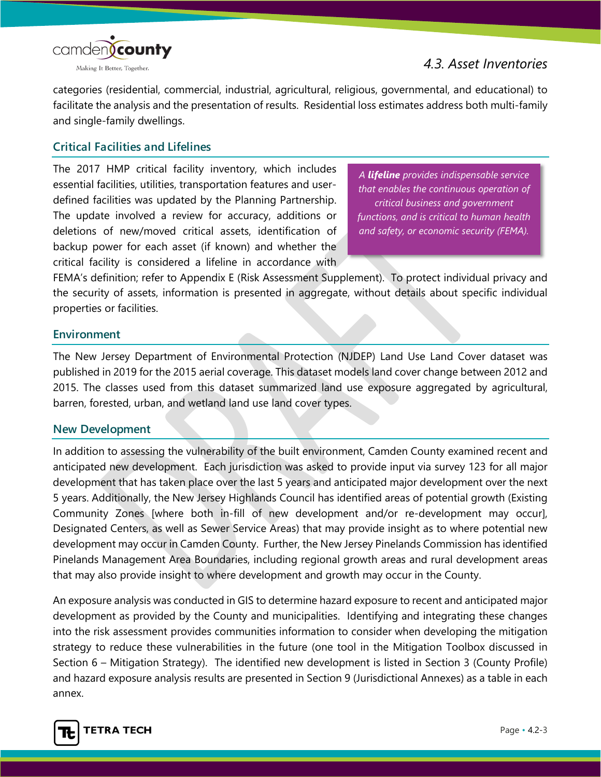

*4.3. Asset Inventories*

categories (residential, commercial, industrial, agricultural, religious, governmental, and educational) to facilitate the analysis and the presentation of results. Residential loss estimates address both multi-family and single-family dwellings.

#### **Critical Facilities and Lifelines**

The 2017 HMP critical facility inventory, which includes essential facilities, utilities, transportation features and userdefined facilities was updated by the Planning Partnership. The update involved a review for accuracy, additions or deletions of new/moved critical assets, identification of backup power for each asset (if known) and whether the critical facility is considered a lifeline in accordance with

*A lifeline provides indispensable service that enables the continuous operation of critical business and government functions, and is critical to human health and safety, or economic security (FEMA).*

FEMA's definition; refer to Appendix E (Risk Assessment Supplement). To protect individual privacy and the security of assets, information is presented in aggregate, without details about specific individual properties or facilities.

#### **Environment**

The New Jersey Department of Environmental Protection (NJDEP) Land Use Land Cover dataset was published in 2019 for the 2015 aerial coverage. This dataset models land cover change between 2012 and 2015. The classes used from this dataset summarized land use exposure aggregated by agricultural, barren, forested, urban, and wetland land use land cover types.

#### **New Development**

In addition to assessing the vulnerability of the built environment, Camden County examined recent and anticipated new development. Each jurisdiction was asked to provide input via survey 123 for all major development that has taken place over the last 5 years and anticipated major development over the next 5 years. Additionally, the New Jersey Highlands Council has identified areas of potential growth (Existing Community Zones [where both in-fill of new development and/or re-development may occur], Designated Centers, as well as Sewer Service Areas) that may provide insight as to where potential new development may occur in Camden County. Further, the New Jersey Pinelands Commission has identified Pinelands Management Area Boundaries, including regional growth areas and rural development areas that may also provide insight to where development and growth may occur in the County.

An exposure analysis was conducted in GIS to determine hazard exposure to recent and anticipated major development as provided by the County and municipalities. Identifying and integrating these changes into the risk assessment provides communities information to consider when developing the mitigation strategy to reduce these vulnerabilities in the future (one tool in the Mitigation Toolbox discussed in Section 6 – Mitigation Strategy). The identified new development is listed in Section 3 (County Profile) and hazard exposure analysis results are presented in Section 9 (Jurisdictional Annexes) as a table in each annex.

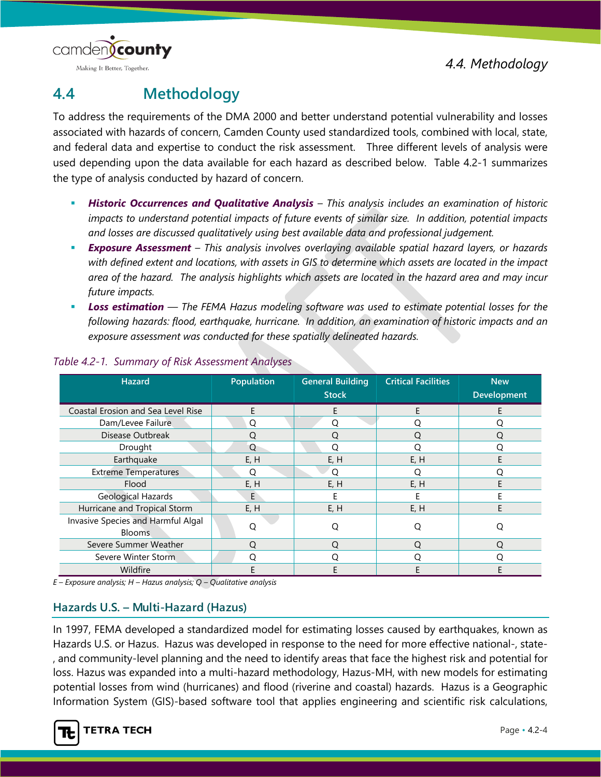

To address the requirements of the DMA 2000 and better understand potential vulnerability and losses associated with hazards of concern, Camden County used standardized tools, combined with local, state, and federal data and expertise to conduct the risk assessment. Three different levels of analysis were used depending upon the data available for each hazard as described below. Table 4.2-1 summarizes the type of analysis conducted by hazard of concern.

- *Historic Occurrences and Qualitative Analysis – This analysis includes an examination of historic impacts to understand potential impacts of future events of similar size. In addition, potential impacts and losses are discussed qualitatively using best available data and professional judgement.*
- *Exposure Assessment – This analysis involves overlaying available spatial hazard layers, or hazards with defined extent and locations, with assets in GIS to determine which assets are located in the impact area of the hazard. The analysis highlights which assets are located in the hazard area and may incur future impacts.*
- *Loss estimation — The FEMA Hazus modeling software was used to estimate potential losses for the following hazards: flood, earthquake, hurricane. In addition, an examination of historic impacts and an exposure assessment was conducted for these spatially delineated hazards.*

| <b>Hazard</b>                                       | Population | <b>General Building</b><br><b>Stock</b> | <b>Critical Facilities</b> | <b>New</b><br><b>Development</b> |
|-----------------------------------------------------|------------|-----------------------------------------|----------------------------|----------------------------------|
| Coastal Erosion and Sea Level Rise                  | E          | Е                                       | E                          |                                  |
| Dam/Levee Failure                                   | Q          | O                                       | O                          | Ω                                |
| Disease Outbreak                                    |            | ∩                                       | ∩                          | Ω                                |
| Drought                                             | O          | ∩                                       |                            | 0                                |
| Earthquake                                          | E, H       | E, H                                    | E, H                       | F                                |
| <b>Extreme Temperatures</b>                         | O          | O                                       | O                          | . .                              |
| Flood                                               | E, H       | E, H                                    | E, H                       |                                  |
| <b>Geological Hazards</b>                           | E          |                                         |                            |                                  |
| Hurricane and Tropical Storm                        | E, H       | E, H                                    | E, H                       | F                                |
| Invasive Species and Harmful Algal<br><b>Blooms</b> | O          | O                                       | O                          | Q                                |
| Severe Summer Weather                               | Ω          | $\Omega$                                | ( )                        | Ω                                |
| Severe Winter Storm                                 | $\Omega$   |                                         |                            | ∩                                |
| Wildfire                                            |            |                                         | E                          |                                  |

#### *Table 4.2-1. Summary of Risk Assessment Analyses*

*E – Exposure analysis; H – Hazus analysis; Q – Qualitative analysis*

#### **Hazards U.S. – Multi-Hazard (Hazus)**

In 1997, FEMA developed a standardized model for estimating losses caused by earthquakes, known as Hazards U.S. or Hazus. Hazus was developed in response to the need for more effective national-, state- , and community-level planning and the need to identify areas that face the highest risk and potential for loss. Hazus was expanded into a multi-hazard methodology, Hazus-MH, with new models for estimating potential losses from wind (hurricanes) and flood (riverine and coastal) hazards. Hazus is a Geographic Information System (GIS)-based software tool that applies engineering and scientific risk calculations,

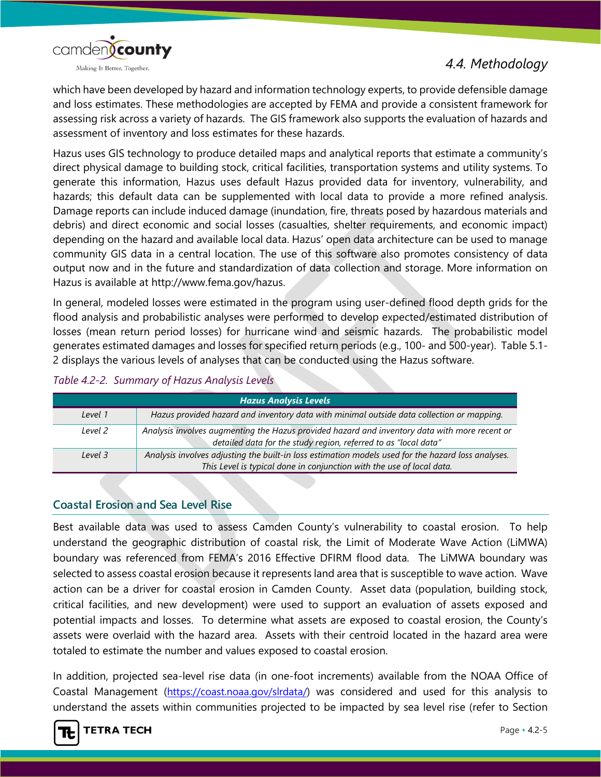



which have been developed by hazard and information technology experts, to provide defensible damage and loss estimates. These methodologies are accepted by FEMA and provide a consistent framework for assessing risk across a variety of hazards. The GIS framework also supports the evaluation of hazards and assessment of inventory and loss estimates for these hazards.

Hazus uses GIS technology to produce detailed maps and analytical reports that estimate a community's direct physical damage to building stock, critical facilities, transportation systems and utility systems. To generate this information, Hazus uses default Hazus provided data for inventory, vulnerability, and hazards; this default data can be supplemented with local data to provide a more refined analysis. Damage reports can include induced damage (inundation, fire, threats posed by hazardous materials and debris) and direct economic and social losses (casualties, shelter requirements, and economic impact) depending on the hazard and available local data. Hazus' open data architecture can be used to manage community GIS data in a central location. The use of this software also promotes consistency of data output now and in the future and standardization of data collection and storage. More information on Hazus is available at http://www.fema.gov/hazus.

In general, modeled losses were estimated in the program using user-defined flood depth grids for the flood analysis and probabilistic analyses were performed to develop expected/estimated distribution of losses (mean return period losses) for hurricane wind and seismic hazards. The probabilistic model generates estimated damages and losses for specified return periods (e.g., 100- and 500-year). Table 5.1- 2 displays the various levels of analyses that can be conducted using the Hazus software.

| Table 4.2-2. Summary of Hazus Analysis Levels |  |  |  |  |
|-----------------------------------------------|--|--|--|--|
|-----------------------------------------------|--|--|--|--|

| <b>Hazus Analysis Levels</b> |                                                                                                                                                                  |  |  |
|------------------------------|------------------------------------------------------------------------------------------------------------------------------------------------------------------|--|--|
| Level 1                      | Hazus provided hazard and inventory data with minimal outside data collection or mapping.                                                                        |  |  |
| Level 2                      | Analysis involves augmenting the Hazus provided hazard and inventory data with more recent or<br>detailed data for the study region, referred to as "local data" |  |  |
| Level 3                      | Analysis involves adjusting the built-in loss estimation models used for the hazard loss analyses.                                                               |  |  |
|                              | This Level is typical done in conjunction with the use of local data.                                                                                            |  |  |

#### **Coastal Erosion and Sea Level Rise**

Best available data was used to assess Camden County's vulnerability to coastal erosion. To help understand the geographic distribution of coastal risk, the Limit of Moderate Wave Action (LiMWA) boundary was referenced from FEMA's 2016 Effective DFIRM flood data. The LiMWA boundary was selected to assess coastal erosion because it represents land area that is susceptible to wave action. Wave action can be a driver for coastal erosion in Camden County. Asset data (population, building stock, critical facilities, and new development) were used to support an evaluation of assets exposed and potential impacts and losses. To determine what assets are exposed to coastal erosion, the County's assets were overlaid with the hazard area. Assets with their centroid located in the hazard area were totaled to estimate the number and values exposed to coastal erosion.

In addition, projected sea-level rise data (in one-foot increments) available from the NOAA Office of Coastal Management [\(https://coast.noaa.gov/slrdata/\)](https://coast.noaa.gov/slrdata/) was considered and used for this analysis to understand the assets within communities projected to be impacted by sea level rise (refer to Section

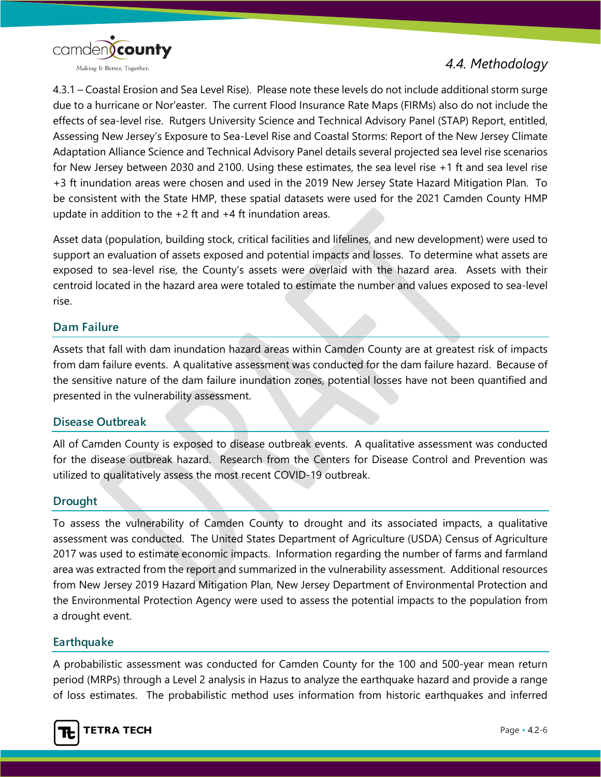

4.3.1 – Coastal Erosion and Sea Level Rise). Please note these levels do not include additional storm surge due to a hurricane or Nor'easter. The current Flood Insurance Rate Maps (FIRMs) also do not include the effects of sea-level rise. Rutgers University Science and Technical Advisory Panel (STAP) Report, entitled, Assessing New Jersey's Exposure to Sea-Level Rise and Coastal Storms: Report of the New Jersey Climate Adaptation Alliance Science and Technical Advisory Panel details several projected sea level rise scenarios for New Jersey between 2030 and 2100. Using these estimates, the sea level rise +1 ft and sea level rise +3 ft inundation areas were chosen and used in the 2019 New Jersey State Hazard Mitigation Plan. To be consistent with the State HMP, these spatial datasets were used for the 2021 Camden County HMP update in addition to the +2 ft and +4 ft inundation areas.

Asset data (population, building stock, critical facilities and lifelines, and new development) were used to support an evaluation of assets exposed and potential impacts and losses. To determine what assets are exposed to sea-level rise, the County's assets were overlaid with the hazard area. Assets with their centroid located in the hazard area were totaled to estimate the number and values exposed to sea-level rise.

#### **Dam Failure**

Assets that fall with dam inundation hazard areas within Camden County are at greatest risk of impacts from dam failure events. A qualitative assessment was conducted for the dam failure hazard. Because of the sensitive nature of the dam failure inundation zones, potential losses have not been quantified and presented in the vulnerability assessment.

#### **Disease Outbreak**

All of Camden County is exposed to disease outbreak events. A qualitative assessment was conducted for the disease outbreak hazard. Research from the Centers for Disease Control and Prevention was utilized to qualitatively assess the most recent COVID-19 outbreak.

#### **Drought**

To assess the vulnerability of Camden County to drought and its associated impacts, a qualitative assessment was conducted. The United States Department of Agriculture (USDA) Census of Agriculture 2017 was used to estimate economic impacts. Information regarding the number of farms and farmland area was extracted from the report and summarized in the vulnerability assessment. Additional resources from New Jersey 2019 Hazard Mitigation Plan, New Jersey Department of Environmental Protection and the Environmental Protection Agency were used to assess the potential impacts to the population from a drought event.

#### **Earthquake**

A probabilistic assessment was conducted for Camden County for the 100 and 500-year mean return period (MRPs) through a Level 2 analysis in Hazus to analyze the earthquake hazard and provide a range of loss estimates. The probabilistic method uses information from historic earthquakes and inferred

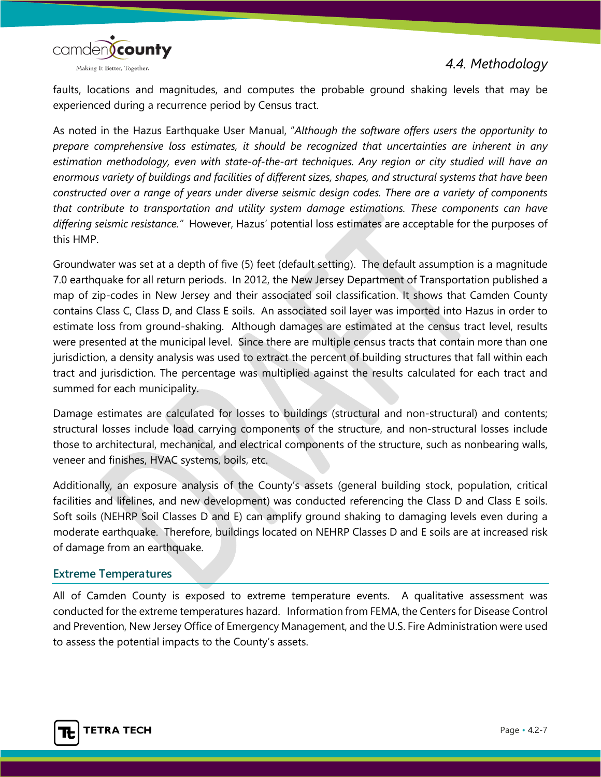

faults, locations and magnitudes, and computes the probable ground shaking levels that may be experienced during a recurrence period by Census tract.

As noted in the Hazus Earthquake User Manual, "*Although the software offers users the opportunity to prepare comprehensive loss estimates, it should be recognized that uncertainties are inherent in any estimation methodology, even with state-of-the-art techniques. Any region or city studied will have an enormous variety of buildings and facilities of different sizes, shapes, and structural systems that have been constructed over a range of years under diverse seismic design codes. There are a variety of components that contribute to transportation and utility system damage estimations. These components can have differing seismic resistance."* However, Hazus' potential loss estimates are acceptable for the purposes of this HMP.

Groundwater was set at a depth of five (5) feet (default setting). The default assumption is a magnitude 7.0 earthquake for all return periods. In 2012, the New Jersey Department of Transportation published a map of zip-codes in New Jersey and their associated soil classification. It shows that Camden County contains Class C, Class D, and Class E soils. An associated soil layer was imported into Hazus in order to estimate loss from ground-shaking. Although damages are estimated at the census tract level, results were presented at the municipal level. Since there are multiple census tracts that contain more than one jurisdiction, a density analysis was used to extract the percent of building structures that fall within each tract and jurisdiction. The percentage was multiplied against the results calculated for each tract and summed for each municipality.

Damage estimates are calculated for losses to buildings (structural and non-structural) and contents; structural losses include load carrying components of the structure, and non-structural losses include those to architectural, mechanical, and electrical components of the structure, such as nonbearing walls, veneer and finishes, HVAC systems, boils, etc.

Additionally, an exposure analysis of the County's assets (general building stock, population, critical facilities and lifelines, and new development) was conducted referencing the Class D and Class E soils. Soft soils (NEHRP Soil Classes D and E) can amplify ground shaking to damaging levels even during a moderate earthquake. Therefore, buildings located on NEHRP Classes D and E soils are at increased risk of damage from an earthquake.

#### **Extreme Temperatures**

All of Camden County is exposed to extreme temperature events. A qualitative assessment was conducted for the extreme temperatures hazard. Information from FEMA, the Centers for Disease Control and Prevention, New Jersey Office of Emergency Management, and the U.S. Fire Administration were used to assess the potential impacts to the County's assets.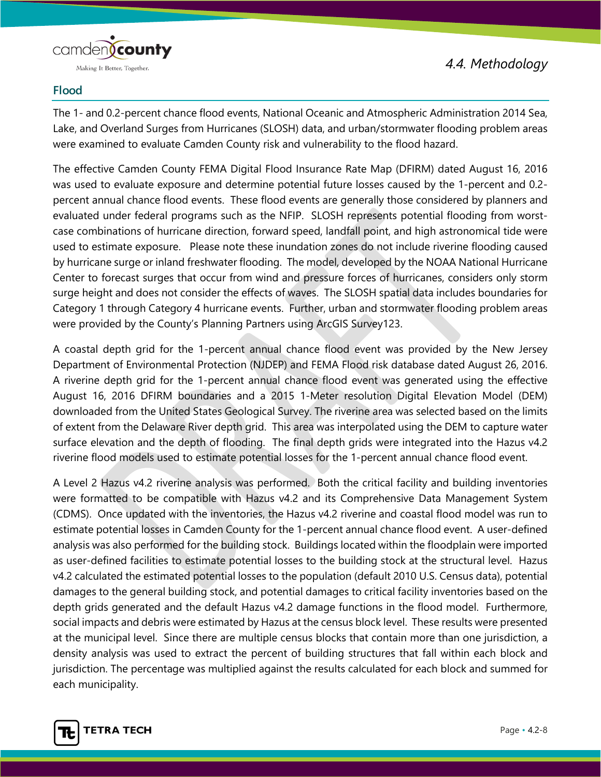

#### **Flood**

The 1- and 0.2-percent chance flood events, National Oceanic and Atmospheric Administration 2014 Sea, Lake, and Overland Surges from Hurricanes (SLOSH) data, and urban/stormwater flooding problem areas were examined to evaluate Camden County risk and vulnerability to the flood hazard.

The effective Camden County FEMA Digital Flood Insurance Rate Map (DFIRM) dated August 16, 2016 was used to evaluate exposure and determine potential future losses caused by the 1-percent and 0.2 percent annual chance flood events. These flood events are generally those considered by planners and evaluated under federal programs such as the NFIP. SLOSH represents potential flooding from worstcase combinations of hurricane direction, forward speed, landfall point, and high astronomical tide were used to estimate exposure. Please note these inundation zones do not include riverine flooding caused by hurricane surge or inland freshwater flooding. The model, developed by the NOAA National Hurricane Center to forecast surges that occur from wind and pressure forces of hurricanes, considers only storm surge height and does not consider the effects of waves. The SLOSH spatial data includes boundaries for Category 1 through Category 4 hurricane events. Further, urban and stormwater flooding problem areas were provided by the County's Planning Partners using ArcGIS Survey123.

A coastal depth grid for the 1-percent annual chance flood event was provided by the New Jersey Department of Environmental Protection (NJDEP) and FEMA Flood risk database dated August 26, 2016. A riverine depth grid for the 1-percent annual chance flood event was generated using the effective August 16, 2016 DFIRM boundaries and a 2015 1-Meter resolution Digital Elevation Model (DEM) downloaded from the United States Geological Survey. The riverine area was selected based on the limits of extent from the Delaware River depth grid. This area was interpolated using the DEM to capture water surface elevation and the depth of flooding. The final depth grids were integrated into the Hazus v4.2 riverine flood models used to estimate potential losses for the 1-percent annual chance flood event.

A Level 2 Hazus v4.2 riverine analysis was performed. Both the critical facility and building inventories were formatted to be compatible with Hazus v4.2 and its Comprehensive Data Management System (CDMS). Once updated with the inventories, the Hazus v4.2 riverine and coastal flood model was run to estimate potential losses in Camden County for the 1-percent annual chance flood event. A user-defined analysis was also performed for the building stock. Buildings located within the floodplain were imported as user-defined facilities to estimate potential losses to the building stock at the structural level. Hazus v4.2 calculated the estimated potential losses to the population (default 2010 U.S. Census data), potential damages to the general building stock, and potential damages to critical facility inventories based on the depth grids generated and the default Hazus v4.2 damage functions in the flood model. Furthermore, social impacts and debris were estimated by Hazus at the census block level. These results were presented at the municipal level. Since there are multiple census blocks that contain more than one jurisdiction, a density analysis was used to extract the percent of building structures that fall within each block and jurisdiction. The percentage was multiplied against the results calculated for each block and summed for each municipality.

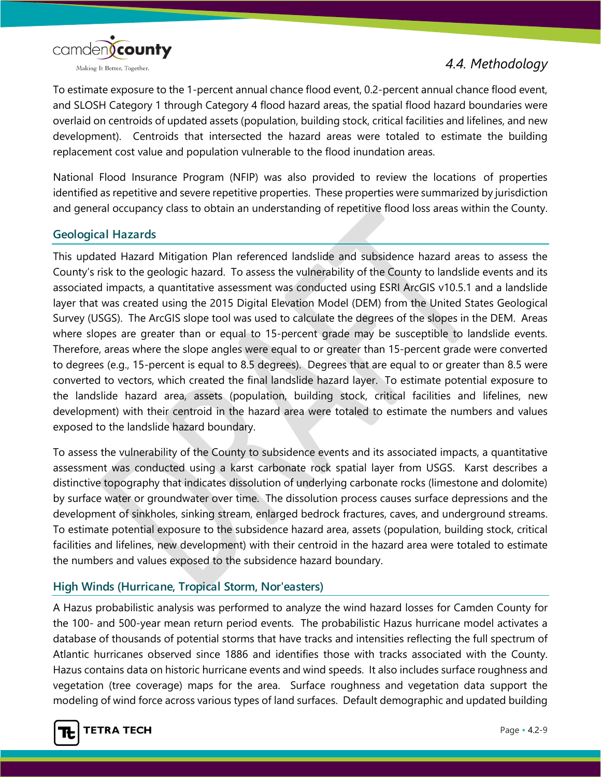

To estimate exposure to the 1-percent annual chance flood event, 0.2-percent annual chance flood event, and SLOSH Category 1 through Category 4 flood hazard areas, the spatial flood hazard boundaries were overlaid on centroids of updated assets (population, building stock, critical facilities and lifelines, and new development). Centroids that intersected the hazard areas were totaled to estimate the building replacement cost value and population vulnerable to the flood inundation areas.

National Flood Insurance Program (NFIP) was also provided to review the locations of properties identified as repetitive and severe repetitive properties. These properties were summarized by jurisdiction and general occupancy class to obtain an understanding of repetitive flood loss areas within the County.

#### **Geological Hazards**

This updated Hazard Mitigation Plan referenced landslide and subsidence hazard areas to assess the County's risk to the geologic hazard. To assess the vulnerability of the County to landslide events and its associated impacts, a quantitative assessment was conducted using ESRI ArcGIS v10.5.1 and a landslide layer that was created using the 2015 Digital Elevation Model (DEM) from the United States Geological Survey (USGS). The ArcGIS slope tool was used to calculate the degrees of the slopes in the DEM. Areas where slopes are greater than or equal to 15-percent grade may be susceptible to landslide events. Therefore, areas where the slope angles were equal to or greater than 15-percent grade were converted to degrees (e.g., 15-percent is equal to 8.5 degrees). Degrees that are equal to or greater than 8.5 were converted to vectors, which created the final landslide hazard layer. To estimate potential exposure to the landslide hazard area, assets (population, building stock, critical facilities and lifelines, new development) with their centroid in the hazard area were totaled to estimate the numbers and values exposed to the landslide hazard boundary.

To assess the vulnerability of the County to subsidence events and its associated impacts, a quantitative assessment was conducted using a karst carbonate rock spatial layer from USGS. Karst describes a distinctive topography that indicates dissolution of underlying carbonate rocks (limestone and dolomite) by surface water or groundwater over time. The dissolution process causes surface depressions and the development of sinkholes, sinking stream, enlarged bedrock fractures, caves, and underground streams. To estimate potential exposure to the subsidence hazard area, assets (population, building stock, critical facilities and lifelines, new development) with their centroid in the hazard area were totaled to estimate the numbers and values exposed to the subsidence hazard boundary.

#### **High Winds (Hurricane, Tropical Storm, Nor'easters)**

A Hazus probabilistic analysis was performed to analyze the wind hazard losses for Camden County for the 100- and 500-year mean return period events. The probabilistic Hazus hurricane model activates a database of thousands of potential storms that have tracks and intensities reflecting the full spectrum of Atlantic hurricanes observed since 1886 and identifies those with tracks associated with the County. Hazus contains data on historic hurricane events and wind speeds. It also includes surface roughness and vegetation (tree coverage) maps for the area. Surface roughness and vegetation data support the modeling of wind force across various types of land surfaces. Default demographic and updated building

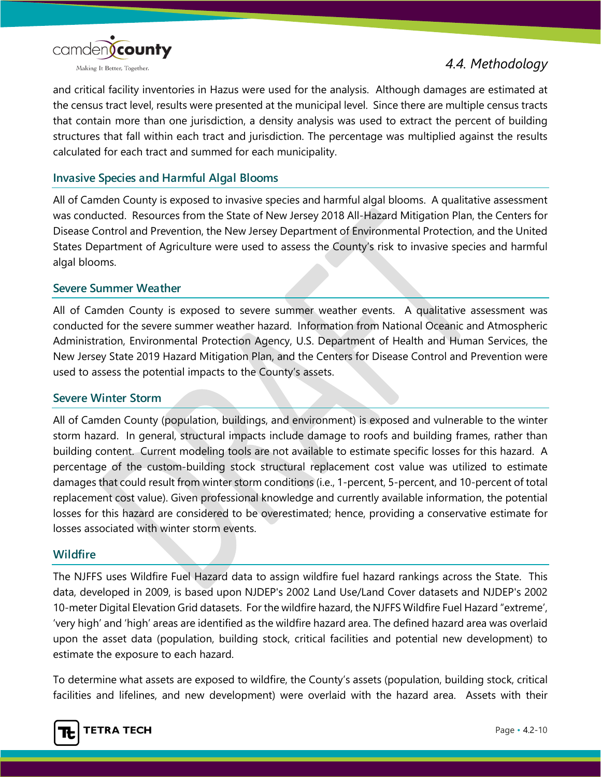

and critical facility inventories in Hazus were used for the analysis. Although damages are estimated at the census tract level, results were presented at the municipal level. Since there are multiple census tracts that contain more than one jurisdiction, a density analysis was used to extract the percent of building structures that fall within each tract and jurisdiction. The percentage was multiplied against the results calculated for each tract and summed for each municipality.

#### **Invasive Species and Harmful Algal Blooms**

All of Camden County is exposed to invasive species and harmful algal blooms. A qualitative assessment was conducted. Resources from the State of New Jersey 2018 All-Hazard Mitigation Plan, the Centers for Disease Control and Prevention, the New Jersey Department of Environmental Protection, and the United States Department of Agriculture were used to assess the County's risk to invasive species and harmful algal blooms.

#### **Severe Summer Weather**

All of Camden County is exposed to severe summer weather events. A qualitative assessment was conducted for the severe summer weather hazard. Information from National Oceanic and Atmospheric Administration, Environmental Protection Agency, U.S. Department of Health and Human Services, the New Jersey State 2019 Hazard Mitigation Plan, and the Centers for Disease Control and Prevention were used to assess the potential impacts to the County's assets.

#### **Severe Winter Storm**

All of Camden County (population, buildings, and environment) is exposed and vulnerable to the winter storm hazard. In general, structural impacts include damage to roofs and building frames, rather than building content. Current modeling tools are not available to estimate specific losses for this hazard. A percentage of the custom-building stock structural replacement cost value was utilized to estimate damages that could result from winter storm conditions (i.e., 1-percent, 5-percent, and 10-percent of total replacement cost value). Given professional knowledge and currently available information, the potential losses for this hazard are considered to be overestimated; hence, providing a conservative estimate for losses associated with winter storm events.

#### **Wildfire**

The NJFFS uses Wildfire Fuel Hazard data to assign wildfire fuel hazard rankings across the State. This data, developed in 2009, is based upon NJDEP's 2002 Land Use/Land Cover datasets and NJDEP's 2002 10-meter Digital Elevation Grid datasets. For the wildfire hazard, the NJFFS Wildfire Fuel Hazard "extreme', 'very high' and 'high' areas are identified as the wildfire hazard area. The defined hazard area was overlaid upon the asset data (population, building stock, critical facilities and potential new development) to estimate the exposure to each hazard.

To determine what assets are exposed to wildfire, the County's assets (population, building stock, critical facilities and lifelines, and new development) were overlaid with the hazard area. Assets with their

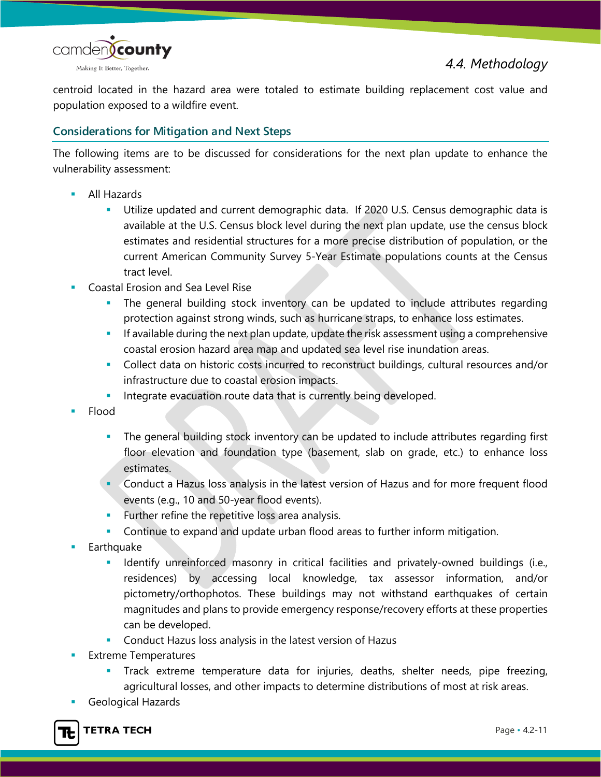

centroid located in the hazard area were totaled to estimate building replacement cost value and population exposed to a wildfire event.

#### **Considerations for Mitigation and Next Steps**

The following items are to be discussed for considerations for the next plan update to enhance the vulnerability assessment:

- All Hazards
	- Utilize updated and current demographic data. If 2020 U.S. Census demographic data is available at the U.S. Census block level during the next plan update, use the census block estimates and residential structures for a more precise distribution of population, or the current American Community Survey 5-Year Estimate populations counts at the Census tract level.
- Coastal Erosion and Sea Level Rise
	- The general building stock inventory can be updated to include attributes regarding protection against strong winds, such as hurricane straps, to enhance loss estimates.
	- If available during the next plan update, update the risk assessment using a comprehensive coastal erosion hazard area map and updated sea level rise inundation areas.
	- Collect data on historic costs incurred to reconstruct buildings, cultural resources and/or infrastructure due to coastal erosion impacts.
	- **Integrate evacuation route data that is currently being developed.**
- Flood
	- The general building stock inventory can be updated to include attributes regarding first floor elevation and foundation type (basement, slab on grade, etc.) to enhance loss estimates.
	- Conduct a Hazus loss analysis in the latest version of Hazus and for more frequent flood events (e.g., 10 and 50-year flood events).
	- **Further refine the repetitive loss area analysis.**
	- Continue to expand and update urban flood areas to further inform mitigation.
- **Earthquake** 
	- **IDENTIFY University unreinforced masonry in critical facilities and privately-owned buildings (i.e.,** residences) by accessing local knowledge, tax assessor information, and/or pictometry/orthophotos. These buildings may not withstand earthquakes of certain magnitudes and plans to provide emergency response/recovery efforts at these properties can be developed.
	- **Conduct Hazus loss analysis in the latest version of Hazus**
- Extreme Temperatures
	- Track extreme temperature data for injuries, deaths, shelter needs, pipe freezing, agricultural losses, and other impacts to determine distributions of most at risk areas.
- Geological Hazards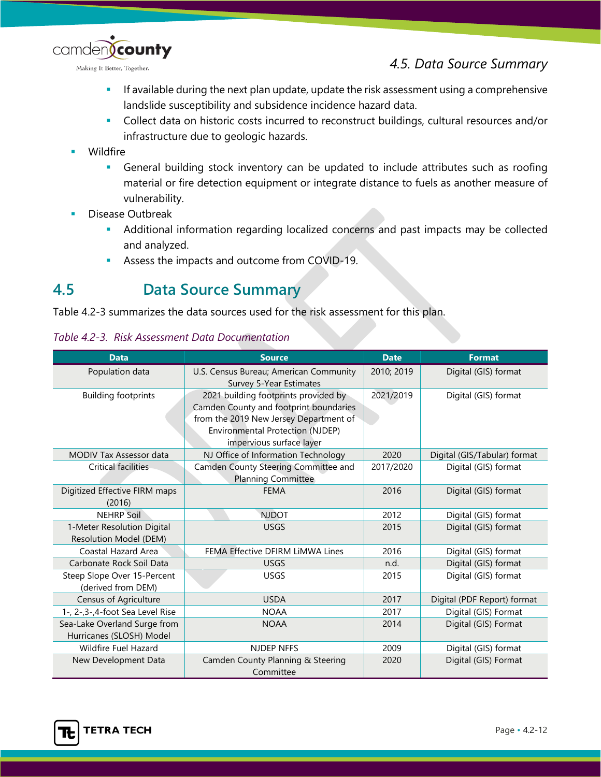*4.5. Data Source Summary*



Making It Better, Together.

- If available during the next plan update, update the risk assessment using a comprehensive landslide susceptibility and subsidence incidence hazard data.
- Collect data on historic costs incurred to reconstruct buildings, cultural resources and/or infrastructure due to geologic hazards.
- Wildfire
	- General building stock inventory can be updated to include attributes such as roofing material or fire detection equipment or integrate distance to fuels as another measure of vulnerability.
- Disease Outbreak
	- Additional information regarding localized concerns and past impacts may be collected and analyzed.
	- Assess the impacts and outcome from COVID-19.

# **4.5 Data Source Summary**

Table 4.2-3 summarizes the data sources used for the risk assessment for this plan.

|  | Table 4.2-3. Risk Assessment Data Documentation |  |
|--|-------------------------------------------------|--|
|--|-------------------------------------------------|--|

| <b>Data</b>                                              | <b>Source</b>                                                                                                                                                                                   | <b>Date</b> | <b>Format</b>                |
|----------------------------------------------------------|-------------------------------------------------------------------------------------------------------------------------------------------------------------------------------------------------|-------------|------------------------------|
| Population data                                          | U.S. Census Bureau; American Community<br>Survey 5-Year Estimates                                                                                                                               | 2010; 2019  | Digital (GIS) format         |
| <b>Building footprints</b>                               | 2021 building footprints provided by<br>Camden County and footprint boundaries<br>from the 2019 New Jersey Department of<br><b>Environmental Protection (NJDEP)</b><br>impervious surface layer | 2021/2019   | Digital (GIS) format         |
| <b>MODIV Tax Assessor data</b>                           | NJ Office of Information Technology                                                                                                                                                             | 2020        | Digital (GIS/Tabular) format |
| <b>Critical facilities</b>                               | Camden County Steering Committee and<br><b>Planning Committee</b>                                                                                                                               | 2017/2020   | Digital (GIS) format         |
| Digitized Effective FIRM maps<br>(2016)                  | <b>FEMA</b>                                                                                                                                                                                     | 2016        | Digital (GIS) format         |
| <b>NEHRP Soil</b>                                        | <b>NJDOT</b>                                                                                                                                                                                    | 2012        | Digital (GIS) format         |
| 1-Meter Resolution Digital<br>Resolution Model (DEM)     | <b>USGS</b>                                                                                                                                                                                     | 2015        | Digital (GIS) format         |
| Coastal Hazard Area                                      | FEMA Effective DFIRM LIMWA Lines                                                                                                                                                                | 2016        | Digital (GIS) format         |
| Carbonate Rock Soil Data                                 | <b>USGS</b>                                                                                                                                                                                     | n.d.        | Digital (GIS) format         |
| Steep Slope Over 15-Percent<br>(derived from DEM)        | <b>USGS</b>                                                                                                                                                                                     | 2015        | Digital (GIS) format         |
| Census of Agriculture                                    | <b>USDA</b>                                                                                                                                                                                     | 2017        | Digital (PDF Report) format  |
| 1-, 2-, 3-, 4-foot Sea Level Rise                        | <b>NOAA</b>                                                                                                                                                                                     | 2017        | Digital (GIS) Format         |
| Sea-Lake Overland Surge from<br>Hurricanes (SLOSH) Model | <b>NOAA</b>                                                                                                                                                                                     | 2014        | Digital (GIS) Format         |
| Wildfire Fuel Hazard                                     | <b>NJDEP NFFS</b>                                                                                                                                                                               | 2009        | Digital (GIS) format         |
| New Development Data                                     | Camden County Planning & Steering<br>Committee                                                                                                                                                  | 2020        | Digital (GIS) Format         |